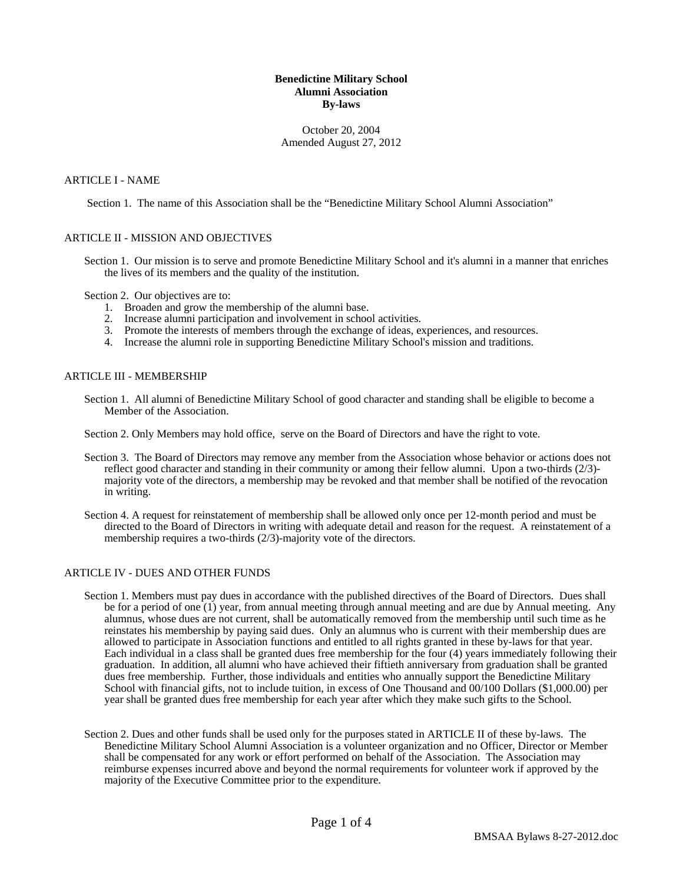# **Benedictine Military School Alumni Association By-laws**

October 20, 2004 Amended August 27, 2012

### ARTICLE I - NAME

Section 1. The name of this Association shall be the "Benedictine Military School Alumni Association"

### ARTICLE II - MISSION AND OBJECTIVES

Section 1. Our mission is to serve and promote Benedictine Military School and it's alumni in a manner that enriches the lives of its members and the quality of the institution.

Section 2. Our objectives are to:

- 1. Broaden and grow the membership of the alumni base.
- 2. Increase alumni participation and involvement in school activities.
- 3. Promote the interests of members through the exchange of ideas, experiences, and resources.
- 4. Increase the alumni role in supporting Benedictine Military School's mission and traditions.

#### ARTICLE III - MEMBERSHIP

- Section 1. All alumni of Benedictine Military School of good character and standing shall be eligible to become a Member of the Association.
- Section 2. Only Members may hold office, serve on the Board of Directors and have the right to vote.
- Section 3. The Board of Directors may remove any member from the Association whose behavior or actions does not reflect good character and standing in their community or among their fellow alumni. Upon a two-thirds (2/3) majority vote of the directors, a membership may be revoked and that member shall be notified of the revocation in writing.
- Section 4. A request for reinstatement of membership shall be allowed only once per 12-month period and must be directed to the Board of Directors in writing with adequate detail and reason for the request. A reinstatement of a membership requires a two-thirds (2/3)-majority vote of the directors.

# ARTICLE IV - DUES AND OTHER FUNDS

- Section 1. Members must pay dues in accordance with the published directives of the Board of Directors. Dues shall be for a period of one (1) year, from annual meeting through annual meeting and are due by Annual meeting. Any alumnus, whose dues are not current, shall be automatically removed from the membership until such time as he reinstates his membership by paying said dues. Only an alumnus who is current with their membership dues are allowed to participate in Association functions and entitled to all rights granted in these by-laws for that year. Each individual in a class shall be granted dues free membership for the four (4) years immediately following their graduation. In addition, all alumni who have achieved their fiftieth anniversary from graduation shall be granted dues free membership. Further, those individuals and entities who annually support the Benedictine Military School with financial gifts, not to include tuition, in excess of One Thousand and 00/100 Dollars (\$1,000.00) per year shall be granted dues free membership for each year after which they make such gifts to the School.
- Section 2. Dues and other funds shall be used only for the purposes stated in ARTICLE II of these by-laws. The Benedictine Military School Alumni Association is a volunteer organization and no Officer, Director or Member shall be compensated for any work or effort performed on behalf of the Association. The Association may reimburse expenses incurred above and beyond the normal requirements for volunteer work if approved by the majority of the Executive Committee prior to the expenditure.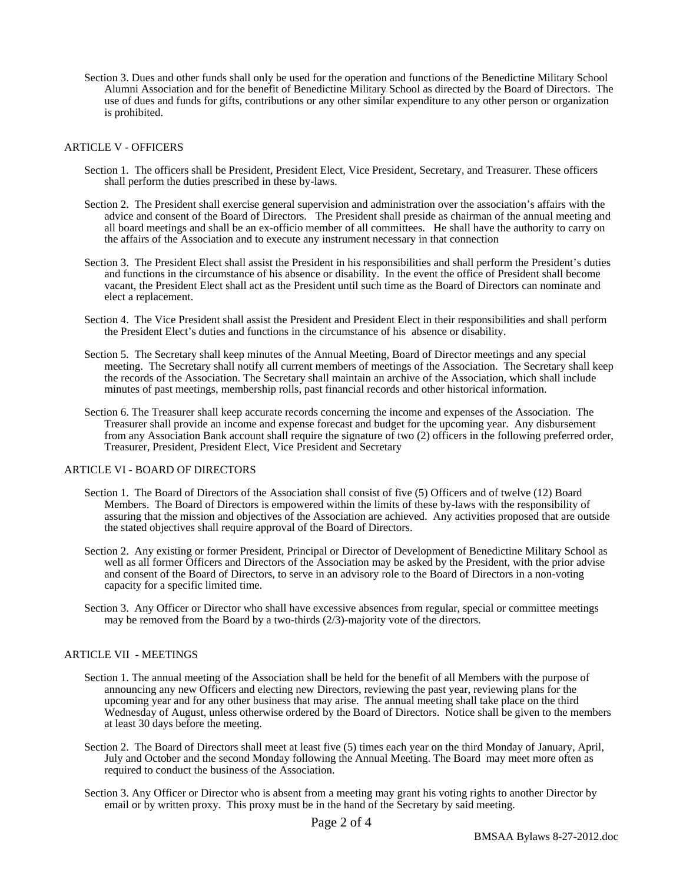Section 3. Dues and other funds shall only be used for the operation and functions of the Benedictine Military School Alumni Association and for the benefit of Benedictine Military School as directed by the Board of Directors. The use of dues and funds for gifts, contributions or any other similar expenditure to any other person or organization is prohibited.

# ARTICLE V - OFFICERS

- Section 1. The officers shall be President, President Elect, Vice President, Secretary, and Treasurer. These officers shall perform the duties prescribed in these by-laws.
- Section 2. The President shall exercise general supervision and administration over the association's affairs with the advice and consent of the Board of Directors. The President shall preside as chairman of the annual meeting and all board meetings and shall be an ex-officio member of all committees. He shall have the authority to carry on the affairs of the Association and to execute any instrument necessary in that connection
- Section 3. The President Elect shall assist the President in his responsibilities and shall perform the President's duties and functions in the circumstance of his absence or disability. In the event the office of President shall become vacant, the President Elect shall act as the President until such time as the Board of Directors can nominate and elect a replacement.
- Section 4. The Vice President shall assist the President and President Elect in their responsibilities and shall perform the President Elect's duties and functions in the circumstance of his absence or disability.
- Section 5. The Secretary shall keep minutes of the Annual Meeting, Board of Director meetings and any special meeting. The Secretary shall notify all current members of meetings of the Association. The Secretary shall keep the records of the Association. The Secretary shall maintain an archive of the Association, which shall include minutes of past meetings, membership rolls, past financial records and other historical information.
- Section 6. The Treasurer shall keep accurate records concerning the income and expenses of the Association. The Treasurer shall provide an income and expense forecast and budget for the upcoming year. Any disbursement from any Association Bank account shall require the signature of two (2) officers in the following preferred order, Treasurer, President, President Elect, Vice President and Secretary

# ARTICLE VI - BOARD OF DIRECTORS

- Section 1. The Board of Directors of the Association shall consist of five (5) Officers and of twelve (12) Board Members. The Board of Directors is empowered within the limits of these by-laws with the responsibility of assuring that the mission and objectives of the Association are achieved. Any activities proposed that are outside the stated objectives shall require approval of the Board of Directors.
- Section 2. Any existing or former President, Principal or Director of Development of Benedictine Military School as well as all former Officers and Directors of the Association may be asked by the President, with the prior advise and consent of the Board of Directors, to serve in an advisory role to the Board of Directors in a non-voting capacity for a specific limited time.
- Section 3. Any Officer or Director who shall have excessive absences from regular, special or committee meetings may be removed from the Board by a two-thirds (2/3)-majority vote of the directors.

#### ARTICLE VII - MEETINGS

- Section 1. The annual meeting of the Association shall be held for the benefit of all Members with the purpose of announcing any new Officers and electing new Directors, reviewing the past year, reviewing plans for the upcoming year and for any other business that may arise. The annual meeting shall take place on the third Wednesday of August, unless otherwise ordered by the Board of Directors. Notice shall be given to the members at least 30 days before the meeting.
- Section 2. The Board of Directors shall meet at least five (5) times each year on the third Monday of January, April, July and October and the second Monday following the Annual Meeting. The Board may meet more often as required to conduct the business of the Association.
- Section 3. Any Officer or Director who is absent from a meeting may grant his voting rights to another Director by email or by written proxy. This proxy must be in the hand of the Secretary by said meeting.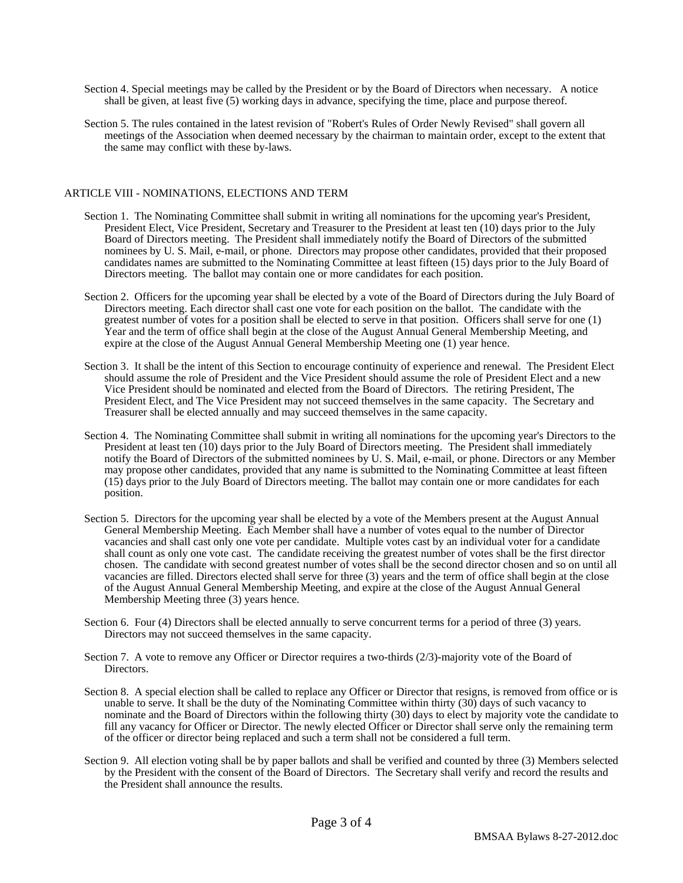- Section 4. Special meetings may be called by the President or by the Board of Directors when necessary. A notice shall be given, at least five (5) working days in advance, specifying the time, place and purpose thereof.
- Section 5. The rules contained in the latest revision of "Robert's Rules of Order Newly Revised" shall govern all meetings of the Association when deemed necessary by the chairman to maintain order, except to the extent that the same may conflict with these by-laws.

### ARTICLE VIII - NOMINATIONS, ELECTIONS AND TERM

- Section 1. The Nominating Committee shall submit in writing all nominations for the upcoming year's President, President Elect, Vice President, Secretary and Treasurer to the President at least ten (10) days prior to the July Board of Directors meeting. The President shall immediately notify the Board of Directors of the submitted nominees by U. S. Mail, e-mail, or phone. Directors may propose other candidates, provided that their proposed candidates names are submitted to the Nominating Committee at least fifteen (15) days prior to the July Board of Directors meeting. The ballot may contain one or more candidates for each position.
- Section 2. Officers for the upcoming year shall be elected by a vote of the Board of Directors during the July Board of Directors meeting. Each director shall cast one vote for each position on the ballot. The candidate with the greatest number of votes for a position shall be elected to serve in that position. Officers shall serve for one (1) Year and the term of office shall begin at the close of the August Annual General Membership Meeting, and expire at the close of the August Annual General Membership Meeting one (1) year hence.
- Section 3. It shall be the intent of this Section to encourage continuity of experience and renewal. The President Elect should assume the role of President and the Vice President should assume the role of President Elect and a new Vice President should be nominated and elected from the Board of Directors. The retiring President, The President Elect, and The Vice President may not succeed themselves in the same capacity. The Secretary and Treasurer shall be elected annually and may succeed themselves in the same capacity.
- Section 4. The Nominating Committee shall submit in writing all nominations for the upcoming year's Directors to the President at least ten (10) days prior to the July Board of Directors meeting. The President shall immediately notify the Board of Directors of the submitted nominees by U. S. Mail, e-mail, or phone. Directors or any Member may propose other candidates, provided that any name is submitted to the Nominating Committee at least fifteen (15) days prior to the July Board of Directors meeting. The ballot may contain one or more candidates for each position.
- Section 5. Directors for the upcoming year shall be elected by a vote of the Members present at the August Annual General Membership Meeting. Each Member shall have a number of votes equal to the number of Director vacancies and shall cast only one vote per candidate. Multiple votes cast by an individual voter for a candidate shall count as only one vote cast. The candidate receiving the greatest number of votes shall be the first director chosen. The candidate with second greatest number of votes shall be the second director chosen and so on until all vacancies are filled. Directors elected shall serve for three (3) years and the term of office shall begin at the close of the August Annual General Membership Meeting, and expire at the close of the August Annual General Membership Meeting three (3) years hence.
- Section 6. Four (4) Directors shall be elected annually to serve concurrent terms for a period of three (3) years. Directors may not succeed themselves in the same capacity.
- Section 7. A vote to remove any Officer or Director requires a two-thirds (2/3)-majority vote of the Board of Directors.
- Section 8. A special election shall be called to replace any Officer or Director that resigns, is removed from office or is unable to serve. It shall be the duty of the Nominating Committee within thirty (30) days of such vacancy to nominate and the Board of Directors within the following thirty (30) days to elect by majority vote the candidate to fill any vacancy for Officer or Director. The newly elected Officer or Director shall serve only the remaining term of the officer or director being replaced and such a term shall not be considered a full term.
- Section 9. All election voting shall be by paper ballots and shall be verified and counted by three (3) Members selected by the President with the consent of the Board of Directors. The Secretary shall verify and record the results and the President shall announce the results.